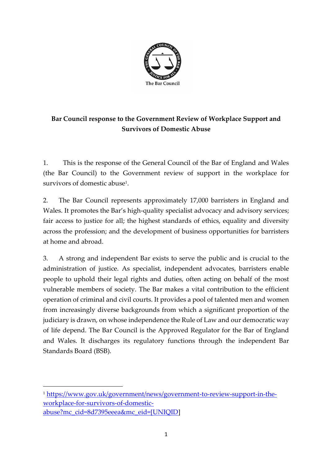

## **Bar Council response to the Government Review of Workplace Support and Survivors of Domestic Abuse**

1. This is the response of the General Council of the Bar of England and Wales (the Bar Council) to the Government review of support in the workplace for survivors of domestic abuse<sup>1</sup>.

2. The Bar Council represents approximately 17,000 barristers in England and Wales. It promotes the Bar's high-quality specialist advocacy and advisory services; fair access to justice for all; the highest standards of ethics, equality and diversity across the profession; and the development of business opportunities for barristers at home and abroad.

3. A strong and independent Bar exists to serve the public and is crucial to the administration of justice. As specialist, independent advocates, barristers enable people to uphold their legal rights and duties, often acting on behalf of the most vulnerable members of society. The Bar makes a vital contribution to the efficient operation of criminal and civil courts. It provides a pool of talented men and women from increasingly diverse backgrounds from which a significant proportion of the judiciary is drawn, on whose independence the Rule of Law and our democratic way of life depend. The Bar Council is the Approved Regulator for the Bar of England and Wales. It discharges its regulatory functions through the independent Bar Standards Board (BSB).

<sup>1</sup> [https://www.gov.uk/government/news/government-to-review-support-in-the](https://www.gov.uk/government/news/government-to-review-support-in-the-workplace-for-survivors-of-domestic-abuse?mc_cid=8d7395eeea&mc_eid=%5bUNIQID)[workplace-for-survivors-of-domestic](https://www.gov.uk/government/news/government-to-review-support-in-the-workplace-for-survivors-of-domestic-abuse?mc_cid=8d7395eeea&mc_eid=%5bUNIQID)[abuse?mc\\_cid=8d7395eeea&mc\\_eid=\[UNIQID\]](https://www.gov.uk/government/news/government-to-review-support-in-the-workplace-for-survivors-of-domestic-abuse?mc_cid=8d7395eeea&mc_eid=%5bUNIQID)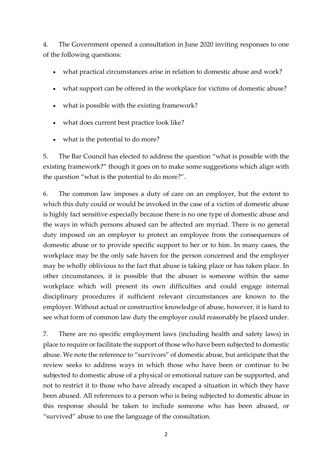4. The Government opened a consultation in June 2020 inviting responses to one of the following questions:

- what practical circumstances arise in relation to domestic abuse and work?
- what support can be offered in the workplace for victims of domestic abuse?
- what is possible with the existing framework?
- what does current best practice look like?
- what is the potential to do more?

5. The Bar Council has elected to address the question "what is possible with the existing framework?" though it goes on to make some suggestions which align with the question "what is the potential to do more?".

6. The common law imposes a duty of care on an employer, but the extent to which this duty could or would be invoked in the case of a victim of domestic abuse is highly fact sensitive especially because there is no one type of domestic abuse and the ways in which persons abused can be affected are myriad. There is no general duty imposed on an employer to protect an employee from the consequences of domestic abuse or to provide specific support to her or to him. In many cases, the workplace may be the only safe haven for the person concerned and the employer may be wholly oblivious to the fact that abuse is taking place or has taken place. In other circumstances, it is possible that the abuser is someone within the same workplace which will present its own difficulties and could engage internal disciplinary procedures if sufficient relevant circumstances are known to the employer. Without actual or constructive knowledge of abuse, however, it is hard to see what form of common law duty the employer could reasonably be placed under.

7. There are no specific employment laws (including health and safety laws) in place to require or facilitate the support of those who have been subjected to domestic abuse. We note the reference to "survivors" of domestic abuse, but anticipate that the review seeks to address ways in which those who have been or continue to be subjected to domestic abuse of a physical or emotional nature can be supported, and not to restrict it to those who have already escaped a situation in which they have been abused. All references to a person who is being subjected to domestic abuse in this response should be taken to include someone who has been abused, or "survived" abuse to use the language of the consultation.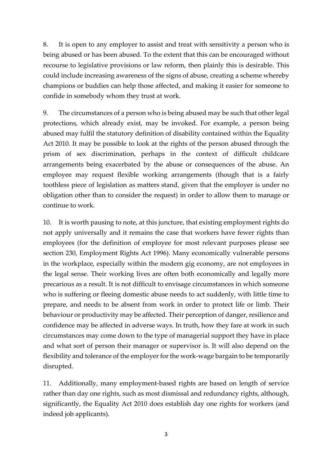8. It is open to any employer to assist and treat with sensitivity a person who is being abused or has been abused. To the extent that this can be encouraged without recourse to legislative provisions or law reform, then plainly this is desirable. This could include increasing awareness of the signs of abuse, creating a scheme whereby champions or buddies can help those affected, and making it easier for someone to confide in somebody whom they trust at work.

9. The circumstances of a person who is being abused may be such that other legal protections, which already exist, may be invoked. For example, a person being abused may fulfil the statutory definition of disability contained within the Equality Act 2010. It may be possible to look at the rights of the person abused through the prism of sex discrimination, perhaps in the context of difficult childcare arrangements being exacerbated by the abuse or consequences of the abuse. An employee may request flexible working arrangements (though that is a fairly toothless piece of legislation as matters stand, given that the employer is under no obligation other than to consider the request) in order to allow them to manage or continue to work.

10. It is worth pausing to note, at this juncture, that existing employment rights do not apply universally and it remains the case that workers have fewer rights than employees (for the definition of employee for most relevant purposes please see section 230, Employment Rights Act 1996). Many economically vulnerable persons in the workplace, especially within the modern gig economy, are not employees in the legal sense. Their working lives are often both economically and legally more precarious as a result. It is not difficult to envisage circumstances in which someone who is suffering or fleeing domestic abuse needs to act suddenly, with little time to prepare, and needs to be absent from work in order to protect life or limb. Their behaviour or productivity may be affected. Their perception of danger, resilience and confidence may be affected in adverse ways. In truth, how they fare at work in such circumstances may come down to the type of managerial support they have in place and what sort of person their manager or supervisor is. It will also depend on the flexibility and tolerance of the employer for the work-wage bargain to be temporarily disrupted.

11. Additionally, many employment-based rights are based on length of service rather than day one rights, such as most dismissal and redundancy rights, although, significantly, the Equality Act 2010 does establish day one rights for workers (and indeed job applicants).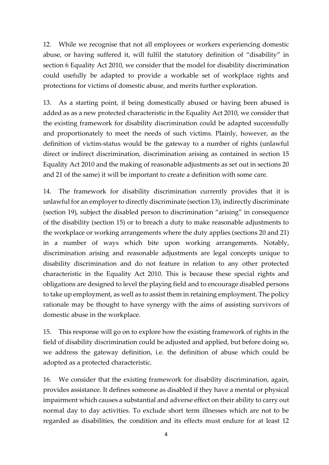12. While we recognise that not all employees or workers experiencing domestic abuse, or having suffered it, will fulfil the statutory definition of "disability" in section 6 Equality Act 2010, we consider that the model for disability discrimination could usefully be adapted to provide a workable set of workplace rights and protections for victims of domestic abuse, and merits further exploration.

13. As a starting point, if being domestically abused or having been abused is added as as a new protected characteristic in the Equality Act 2010, we consider that the existing framework for disability discrimination could be adapted successfully and proportionately to meet the needs of such victims. Plainly, however, as the definition of victim-status would be the gateway to a number of rights (unlawful direct or indirect discrimination, discrimination arising as contained in section 15 Equality Act 2010 and the making of reasonable adjustments as set out in sections 20 and 21 of the same) it will be important to create a definition with some care.

14. The framework for disability discrimination currently provides that it is unlawful for an employer to directly discriminate (section 13), indirectly discriminate (section 19), subject the disabled person to discrimination "arising" in consequence of the disability (section 15) or to breach a duty to make reasonable adjustments to the workplace or working arrangements where the duty applies (sections 20 and 21) in a number of ways which bite upon working arrangements. Notably, discrimination arising and reasonable adjustments are legal concepts unique to disability discrimination and do not feature in relation to any other protected characteristic in the Equality Act 2010. This is because these special rights and obligations are designed to level the playing field and to encourage disabled persons to take up employment, as well as to assist them in retaining employment. The policy rationale may be thought to have synergy with the aims of assisting survivors of domestic abuse in the workplace.

15. This response will go on to explore how the existing framework of rights in the field of disability discrimination could be adjusted and applied, but before doing so, we address the gateway definition, i.e. the definition of abuse which could be adopted as a protected characteristic.

16. We consider that the existing framework for disability discrimination, again, provides assistance. It defines someone as disabled if they have a mental or physical impairment which causes a substantial and adverse effect on their ability to carry out normal day to day activities. To exclude short term illnesses which are not to be regarded as disabilities, the condition and its effects must endure for at least 12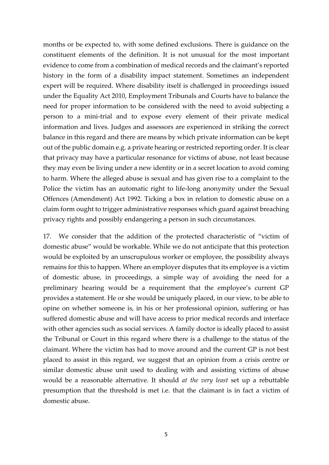months or be expected to, with some defined exclusions. There is guidance on the constituent elements of the definition. It is not unusual for the most important evidence to come from a combination of medical records and the claimant's reported history in the form of a disability impact statement. Sometimes an independent expert will be required. Where disability itself is challenged in proceedings issued under the Equality Act 2010, Employment Tribunals and Courts have to balance the need for proper information to be considered with the need to avoid subjecting a person to a mini-trial and to expose every element of their private medical information and lives. Judges and assessors are experienced in striking the correct balance in this regard and there are means by which private information can be kept out of the public domain e.g. a private hearing or restricted reporting order. It is clear that privacy may have a particular resonance for victims of abuse, not least because they may even be living under a new identity or in a secret location to avoid coming to harm. Where the alleged abuse is sexual and has given rise to a complaint to the Police the victim has an automatic right to life-long anonymity under the Sexual Offences (Amendment) Act 1992. Ticking a box in relation to domestic abuse on a claim form ought to trigger administrative responses which guard against breaching privacy rights and possibly endangering a person in such circumstances.

17. We consider that the addition of the protected characteristic of "victim of domestic abuse" would be workable. While we do not anticipate that this protection would be exploited by an unscrupulous worker or employee, the possibility always remains for this to happen. Where an employer disputes that its employee is a victim of domestic abuse, in proceedings, a simple way of avoiding the need for a preliminary hearing would be a requirement that the employee's current GP provides a statement. He or she would be uniquely placed, in our view, to be able to opine on whether someone is, in his or her professional opinion, suffering or has suffered domestic abuse and will have access to prior medical records and interface with other agencies such as social services. A family doctor is ideally placed to assist the Tribunal or Court in this regard where there is a challenge to the status of the claimant. Where the victim has had to move around and the current GP is not best placed to assist in this regard, we suggest that an opinion from a crisis centre or similar domestic abuse unit used to dealing with and assisting victims of abuse would be a reasonable alternative. It should *at the very least* set up a rebuttable presumption that the threshold is met i.e. that the claimant is in fact a victim of domestic abuse.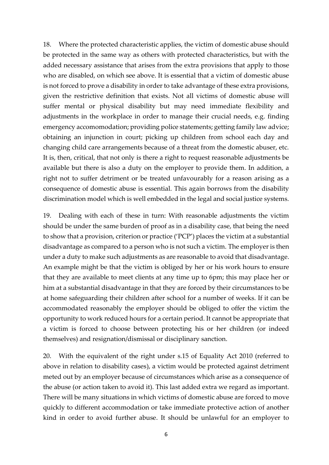18. Where the protected characteristic applies, the victim of domestic abuse should be protected in the same way as others with protected characteristics, but with the added necessary assistance that arises from the extra provisions that apply to those who are disabled, on which see above. It is essential that a victim of domestic abuse is not forced to prove a disability in order to take advantage of these extra provisions, given the restrictive definition that exists. Not all victims of domestic abuse will suffer mental or physical disability but may need immediate flexibility and adjustments in the workplace in order to manage their crucial needs, e.g. finding emergency accomomodation; providing police statements; getting family law advice; obtaining an injunction in court; picking up children from school each day and changing child care arrangements because of a threat from the domestic abuser, etc. It is, then, critical, that not only is there a right to request reasonable adjustments be available but there is also a duty on the employer to provide them. In addition, a right not to suffer detriment or be treated unfavourably for a reason arising as a consequence of domestic abuse is essential. This again borrows from the disability discrimination model which is well embedded in the legal and social justice systems.

19. Dealing with each of these in turn: With reasonable adjustments the victim should be under the same burden of proof as in a disability case, that being the need to show that a provision, criterion or practice ('PCP') places the victim at a substantial disadvantage as compared to a person who is not such a victim. The employer is then under a duty to make such adjustments as are reasonable to avoid that disadvantage. An example might be that the victim is obliged by her or his work hours to ensure that they are available to meet clients at any time up to 6pm; this may place her or him at a substantial disadvantage in that they are forced by their circumstances to be at home safeguarding their children after school for a number of weeks. If it can be accommodated reasonably the employer should be obliged to offer the victim the opportunity to work reduced hours for a certain period. It cannot be appropriate that a victim is forced to choose between protecting his or her children (or indeed themselves) and resignation/dismissal or disciplinary sanction.

20. With the equivalent of the right under s.15 of Equality Act 2010 (referred to above in relation to disability cases), a victim would be protected against detriment meted out by an employer because of circumstances which arise as a consequence of the abuse (or action taken to avoid it). This last added extra we regard as important. There will be many situations in which victims of domestic abuse are forced to move quickly to different accommodation or take immediate protective action of another kind in order to avoid further abuse. It should be unlawful for an employer to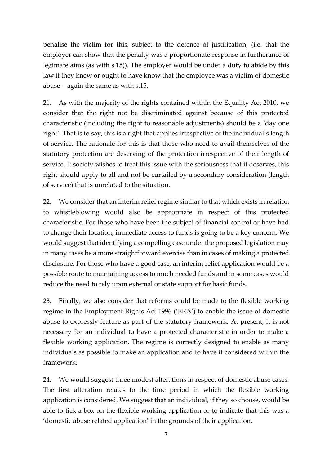penalise the victim for this, subject to the defence of justification, (i.e. that the employer can show that the penalty was a proportionate response in furtherance of legimate aims (as with s.15)). The employer would be under a duty to abide by this law it they knew or ought to have know that the employee was a victim of domestic abuse - again the same as with s.15.

21. As with the majority of the rights contained within the Equality Act 2010, we consider that the right not be discriminated against because of this protected characteristic (including the right to reasonable adjustments) should be a 'day one right'. That is to say, this is a right that applies irrespective of the individual's length of service. The rationale for this is that those who need to avail themselves of the statutory protection are deserving of the protection irrespective of their length of service. If society wishes to treat this issue with the seriousness that it deserves, this right should apply to all and not be curtailed by a secondary consideration (length of service) that is unrelated to the situation.

22. We consider that an interim relief regime similar to that which exists in relation to whistleblowing would also be appropriate in respect of this protected characteristic. For those who have been the subject of financial control or have had to change their location, immediate access to funds is going to be a key concern. We would suggest that identifying a compelling case under the proposed legislation may in many cases be a more straightforward exercise than in cases of making a protected disclosure. For those who have a good case, an interim relief application would be a possible route to maintaining access to much needed funds and in some cases would reduce the need to rely upon external or state support for basic funds.

23. Finally, we also consider that reforms could be made to the flexible working regime in the Employment Rights Act 1996 ('ERA') to enable the issue of domestic abuse to expressly feature as part of the statutory framework. At present, it is not necessary for an individual to have a protected characteristic in order to make a flexible working application. The regime is correctly designed to enable as many individuals as possible to make an application and to have it considered within the framework.

24. We would suggest three modest alterations in respect of domestic abuse cases. The first alteration relates to the time period in which the flexible working application is considered. We suggest that an individual, if they so choose, would be able to tick a box on the flexible working application or to indicate that this was a 'domestic abuse related application' in the grounds of their application.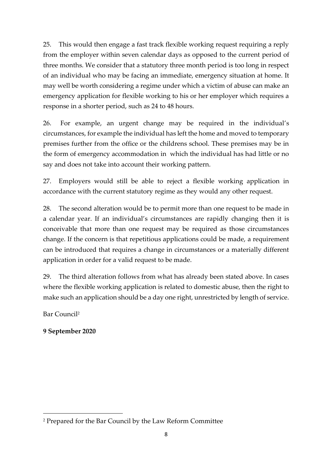25. This would then engage a fast track flexible working request requiring a reply from the employer within seven calendar days as opposed to the current period of three months. We consider that a statutory three month period is too long in respect of an individual who may be facing an immediate, emergency situation at home. It may well be worth considering a regime under which a victim of abuse can make an emergency application for flexible working to his or her employer which requires a response in a shorter period, such as 24 to 48 hours.

26. For example, an urgent change may be required in the individual's circumstances, for example the individual has left the home and moved to temporary premises further from the office or the childrens school. These premises may be in the form of emergency accommodation in which the individual has had little or no say and does not take into account their working pattern.

27. Employers would still be able to reject a flexible working application in accordance with the current statutory regime as they would any other request.

28. The second alteration would be to permit more than one request to be made in a calendar year. If an individual's circumstances are rapidly changing then it is conceivable that more than one request may be required as those circumstances change. If the concern is that repetitious applications could be made, a requirement can be introduced that requires a change in circumstances or a materially different application in order for a valid request to be made.

29. The third alteration follows from what has already been stated above. In cases where the flexible working application is related to domestic abuse, then the right to make such an application should be a day one right, unrestricted by length of service.

Bar Council<sup>2</sup>

**9 September 2020** 

<sup>2</sup> Prepared for the Bar Council by the Law Reform Committee